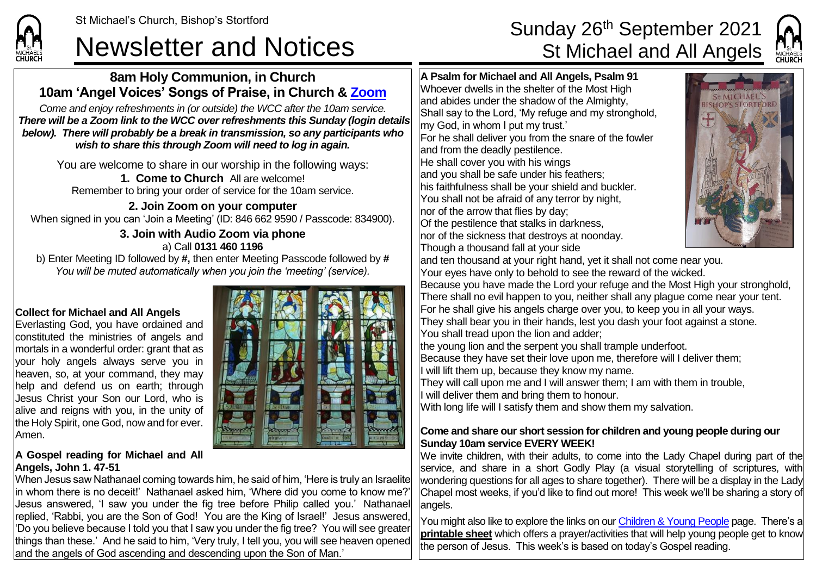# Newsletter and Notices St Michael and All Angels

## **8am Holy Communion, in Church 10am 'Angel Voices' Songs of Praise, in Church & [Zoom](https://zoom.us/)**

*Come and enjoy refreshments in (or outside) the WCC after the 10am service. There will be a Zoom link to the WCC over refreshments this Sunday (login details below). There will probably be a break in transmission, so any participants who wish to share this through Zoom will need to log in again.*

You are welcome to share in our worship in the following ways: **1. Come to Church** All are welcome!

Remember to bring your order of service for the 10am service.

**2. Join Zoom on your computer** When signed in you can 'Join a Meeting' (ID: 846 662 9590 / Passcode: 834900).

#### **3. Join with Audio Zoom via phone** a) Call **0131 460 1196**

b) Enter Meeting ID followed by **#,** then enter Meeting Passcode followed by **#** *You will be muted automatically when you join the 'meeting' (service).*

## **Collect for Michael and All Angels**

**CHURCH** 

Everlasting God, you have ordained and constituted the ministries of angels and mortals in a wonderful order: grant that as your holy angels always serve you in heaven, so, at your command, they may help and defend us on earth; through Jesus Christ your Son our Lord, who is alive and reigns with you, in the unity of the Holy Spirit, one God, now and for ever. Amen.

# **A Gospel reading for Michael and All Angels, John 1. 47-51**

When Jesus saw Nathanael coming towards him, he said of him, 'Here is truly an Israelite in whom there is no deceit!' Nathanael asked him, 'Where did you come to know me?' Jesus answered, 'I saw you under the fig tree before Philip called you.' Nathanael replied, 'Rabbi, you are the Son of God! You are the King of Israel!' Jesus answered, 'Do you believe because I told you that I saw you under the fig tree? You will see greater things than these.' And he said to him, 'Very truly, I tell you, you will see heaven opened and the angels of God ascending and descending upon the Son of Man.'

**A Psalm for Michael and All Angels, Psalm 91** Whoever dwells in the shelter of the Most High and abides under the shadow of the Almighty, Shall say to the Lord, 'My refuge and my stronghold, my God, in whom I put my trust.' For he shall deliver you from the snare of the fowler and from the deadly pestilence. He shall cover you with his wings and you shall be safe under his feathers; his faithfulness shall be your shield and buckler. You shall not be afraid of any terror by night, nor of the arrow that flies by day; Of the pestilence that stalks in darkness, nor of the sickness that destroys at noonday. Though a thousand fall at your side



and ten thousand at your right hand, yet it shall not come near you. Your eyes have only to behold to see the reward of the wicked. Because you have made the Lord your refuge and the Most High your stronghold,

There shall no evil happen to you, neither shall any plague come near your tent. For he shall give his angels charge over you, to keep you in all your ways. They shall bear you in their hands, lest you dash your foot against a stone. You shall tread upon the lion and adder;

the young lion and the serpent you shall trample underfoot. Because they have set their love upon me, therefore will I deliver them; If will lift them up, because they know my name.

They will call upon me and I will answer them; I am with them in trouble,

If will deliver them and bring them to honour.

With long life will I satisfy them and show them my salvation.

### **Come and share our short session for children and young people during our Sunday 10am service EVERY WEEK!**

We invite children, with their adults, to come into the Lady Chapel during part of the service, and share in a short Godly Play (a visual storytelling of scriptures, with wondering questions for all ages to share together). There will be a display in the Lady Chapel most weeks, if you'd like to find out more! This week we'll be sharing a story of angels.

You might also like to explore the links on our [Children & Young People](https://saintmichaelweb.org.uk/Groups/310496/Children_and_Young.aspx) page. There's a **[printable sheet](https://saintmichaelweb.org.uk/Groups/310496/Children_and_Young.aspx)** which offers a prayer/activities that will help young people get to know the person of Jesus. This week's is based on today's Gospel reading.